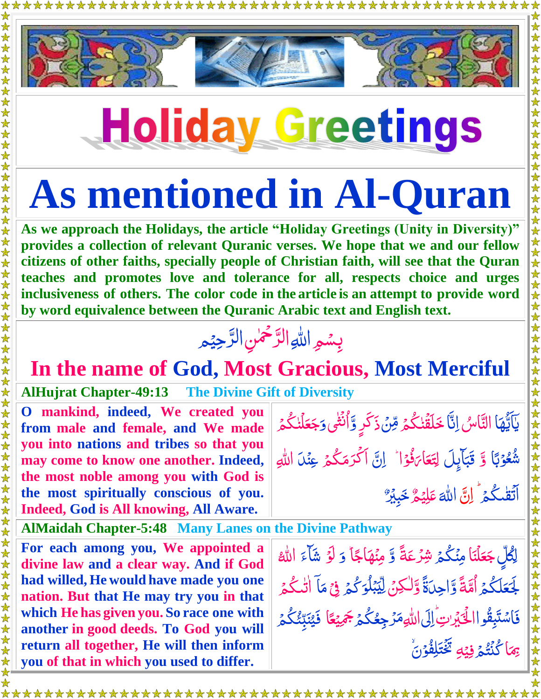

## **Holiday Greetings**

## **As mentioned in Al-Quran**

**As we approach the Holidays, the article "Holiday Greetings (Unity in Diversity)" provides a collection of relevant Quranic verses. We hope that we and our fellow citizens of other faiths, specially people of Christian faith, will see that the Quran teaches and promotes love and tolerance for all, respects choice and urges inclusiveness of others. The color code in the article is an attempt to provide word by word equivalence between the Quranic Arabic text and English text.**

## بِسُمِ اللهِ الرَّحْمٰنِ الرَّحِيْمِ ú<br>. ڒ ֞֞֝׆<br>ׇ֧ ڒ

## **In the name of God, Most Gracious, Most Merciful**

**AlHujrat Chapter-49:13 The Divine Gift of Diversity**

**O mankind, indeed, We created you from male and female, and We made you into nations and tribes so that you may come to know one another. Indeed, the most noble among you with God is the most spiritually conscious of you. Indeed, God is All knowing, All Aware.** 

**AlMaidah Chapter-5:48 Many Lanes on the Divine Pathway**

**\*\*\*\*\*\*\*\*\*\*\*\*\*\*\*\*\*\*\*\*\*\*\*\*\*\*\*\*\***\*

**For each among you, We appointed a divine law and a clear way. And if God had willed, He would have made you one nation. But that He may try you in that which He has given you. So race one with another in good deeds. To God you will return all together, He will then inform you of that in which you used to differ.** 

يَاَيُّهَا التَّاسُ اِنَّا خَلَقَٰنكُمۡ مِّنۡ ذَكَرٍ وَّاُنۡثَٰى وَ ُمَا<br>ُمُعَامَ  $\frac{1}{2}$ ٰ قد<br>م i<br>I ر<br>گ ٰ Ž Ï ٰ ا بندا<br>نائج **وَجَعَلْنَكْ**مُ ر<br>گ ٰ <mark>جَعَلۡنٰگُمۡ</mark> ُّ و<br>شگ لَّهُمْ لَكُمْ لِلْمُسْتَخِيرِ وۡبَاۤ وَّ قَبَآيِلَ ب <u>ُز</u> Ï ِ<br>ر بَ<br>ب َّب قَبَايِلَ لِتَعَارَفُوْا <u>أ</u> نُّ<br>ف ن<br>ک ار <u>َّ</u> لِتَعَارَفُوْا لِّ لِنَّ أَكْرَمَكُمُ .<br>. ا ر<br>گ اَكْرَمَكْمُ عِن<sub>َ</sub>لاَ اللهِ ا ہ<br>گ اَتَقٰىگُمۡ ۚ إِنَّ ٰ  $\ddot{\cdot}$ َّ هّٰلل ا  $\tilde{\mathcal{S}}$ م ي ِ ل َّ ع ֞׆<br>֡ خَبِيْرٌ

**گر** لِّكُلِّ جَعَلْنَا جَعَلْنَا مِنْكُمۡ شِرۡعَةً وَّ مِنۡهَاجًاؕ ۔<br>گ Ï َّ و َّو ل <u>ز</u> شآءَ الل<mark></mark>ّٰه <u>مُ</u> ۔<br>ا لَّ ُّكم َّ لَجَعَلَكُمُ أُمَّةً وَّاحِدَةً وَّلْكِنَّ لِيَبْلُوَكُمُ Ã ا Ï  $\tilde{\cdot}$ ا<br>ـ ٰ ل Ï ہ<br>گ بمكو  $\int$ ֞<u>֓</u> ِ<br>په لِّيۡبَٰلۡوَكُمۡ فِیۡ مَآ ׇ֡֞֟׆<br>֧֪֪֢֞ ۡ **أَمُّ** مَا اٰتٰىگُمۡ ۖ ر<br>گ ٰ فَاسْتَبِقُواالْخَيْرَاتِ اِلَى اللّهِمَرُ جِعُكُمُ جَمِيْعًا ام<br>م Ñ ٰ .<br>-۔<br>گ ُّ ر<br>ل Í جَ*ڤِ*يَعًا فَيُنَبِّئُكُم*ُ* یکا<br>نام ع<br>م تا۔<br>د ان<br>ا َّي ۔<br>اگر **ک** <sub>ِ</sub><br>بِمَا كُنُتُمُ فِيۡهِ ہ<br>گ ر<br>ا ە<br>ئى یک<br>نا َّ يَ<sub>ْ</sub><br>تَخْتَلِفُوْنَ <u>أ</u> **ُ**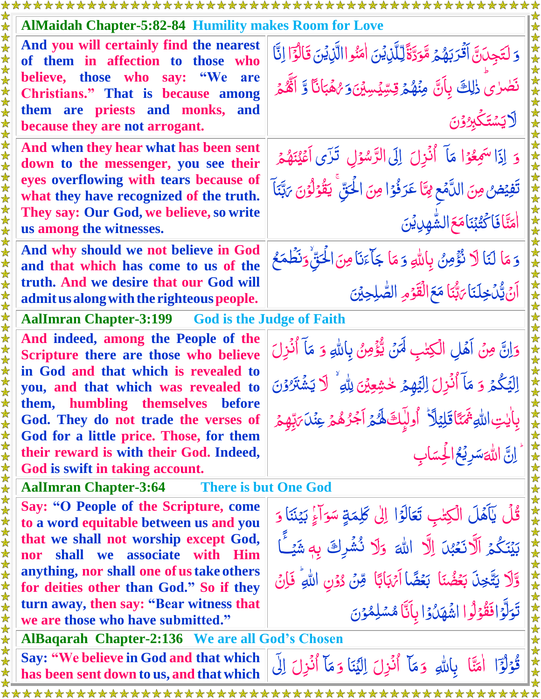|                                                    | <b>AlMaidah Chapter-5:82-84 Humility makes Room for Love</b>                         |                                                                                       |  |
|----------------------------------------------------|--------------------------------------------------------------------------------------|---------------------------------------------------------------------------------------|--|
| $\mathbf{\lambda}$<br>$\bigstar$<br>$\bigstar$     | And you will certainly find the nearest<br>of them in affection to those who         | وَ لَتَجِدَنَّ أَقْرَبَهُمُ مَّوَدَّةً لِّلَّذِينَ اٰمَنُواالَّذِينَ قَالُوًّا إِنَّا |  |
| $\bigstar$<br>$\bigstar$<br>$\bigstar$             | believe, those who say: "We<br>are<br>Christians." That is because among             | نَصْرٰىَ زٰلِكَ بِأَنَّ مِنْهُمْ قِسِّيْسِيْنَ5 رُهَبَانًا وَّ أَنَّهُمْ              |  |
| $\bigstar$<br>$\bigstar$<br>$\bigstar$             | them are priests and monks, and<br>because they are not arrogant.                    | <b>لايَسْتَكَبِرُوْنَ</b>                                                             |  |
| $\bigstar$<br>$\bigstar$<br>$\bigstar$             | And when they hear what has been sent<br>down to the messenger, you see their        | وَ إِذَا سَمِعُوْا مَآ أَنُزِلَ إِلَى الرَّسُوۡلِ ۚ تَزَى اَعۡيُنَهُمۡ                |  |
| $\bigstar$                                         | eyes overflowing with tears because of<br>what they have recognized of the truth.    | تَفِيۡضُ مِنَ اللَّمۡعِ مِمَّا عَرَفُوۡا مِنَ الۡحَقِّ ۚ يَقُوۡلُوۡنَ مَتَّبَنَآ      |  |
| 女女女女女                                              | They say: Our God, we believe, so write<br>us among the witnesses.                   | <b>ِ اٰ مَتَّا فَاٰ كَتُبْنَا مَعَ الشَّهْدِي</b> قِينَ                               |  |
| 法女<br>$\bigstar$<br>$\bigstar$                     | And why should we not believe in God<br>and that which has come to us of the         | وَمَا لَنَا لَا نُؤْمِنُ بِاللَّهِ وَمَا جَأَءَنَا مِنَ الْحَقّْ وَنَظْمَعُ           |  |
| $\bigstar$<br>$\bigstar$<br>$\bigstar$             | truth. And we desire that our God will<br>admit us along with the righteous people.  | أَنَّ يُّكَ خِلَنَا يَهُّبَا مَعَ الْقَوْمِ الصَّلِحِيْنَ                             |  |
| 法女                                                 | <b>AalImran Chapter-3:199</b> God is the Judge of Faith                              |                                                                                       |  |
| $\color{red} \bigstar$<br>$\bigstar$<br>$\bigstar$ | And indeed, among the People of the<br>Scripture there are those who believe         | وَإِنَّ مِنْ أَهْلِ الْكِتْبِ لَهَنْ يُّؤْمِنُ بِاللَّهِ وَ مَآ أُنُزِلَ              |  |
| $\bigstar$<br>$\bigstar$                           | in God and that which is revealed to                                                 | اِلِيَكُمْ وَ مَآ أُنُزِلَ اِلِيَهِمْ خُشِعِينَ لِللهِ ۚ لَا يَشۡنَرُوۡنَ             |  |
|                                                    | you, and that which was revealed to<br>them, humbling themselves<br><b>before</b>    |                                                                                       |  |
|                                                    | God. They do not trade the verses of                                                 | بِأَيْتِ اللَّهِ ثَمَنًا قَلِيۡلَآ ۗ أُولَٰٓبِكَ هُمۡ آَجُرُهُمۡ عِنۡلَىٰٓ لِهِمۡ     |  |
|                                                    | God for a little price. Those, for them                                              |                                                                                       |  |
|                                                    | their reward is with their God. Indeed,                                              | <br>   اِنَّ اللَّٰهَسَرِيۡعُ الۡحِسَابِ                                              |  |
|                                                    | God is swift in taking account.                                                      |                                                                                       |  |
|                                                    | <b>AalImran Chapter-3:64</b><br><b>There is but One God</b>                          |                                                                                       |  |
|                                                    | Say: "O People of the Scripture, come<br>to a word equitable between us and you      | قُلْ يَآهَلَ الْكِتْبِ تَعَالَوْا إِلَى كَلِمَةٍ سَوَاءٍ بَيْنَنَا وَ                 |  |
|                                                    | that we shall not worship except God,                                                | بَيْنَكُمُ اَلَّانَعُبْنَ اِلَّا اللَّهَ وَلَا نُشُرِكَ بِهِ شَيْئًا                  |  |
|                                                    | shall we associate with Him<br>nor                                                   |                                                                                       |  |
|                                                    | anything, nor shall one of us take others<br>for deities other than God." So if they | وَّلَا يَتَّخِذَ بَعُضُنَا بَعُضًا اَيْهَابًا مِّنْ دُوْنِ اللهِ ۚ فَإِنْ             |  |
|                                                    | turn away, then say: "Bear witness that                                              |                                                                                       |  |
|                                                    | we are those who have submitted."                                                    | تَوَلَّوۡافَقُوۡلُوا اشَّهَلُوۡا بِاَنَّا مُسۡلِمُوۡنَ                                |  |
| 女女女女女女女女女女女女女女女女女女女女女女女女女                          | <b>AlBaqarah Chapter-2:136 We are all God's Chosen</b>                               |                                                                                       |  |
|                                                    | Say: "We believe in God and that which                                               | قُوْلُوًٓا اٰمَتًا بِاللَّهِ وَمَآ أُنۡزِلَ اِلۡيَنَا وَمَآ أُنۡزِلَ اِلَى            |  |
| $\bigstar$                                         | has been sent down to us, and that which                                             |                                                                                       |  |
|                                                    |                                                                                      |                                                                                       |  |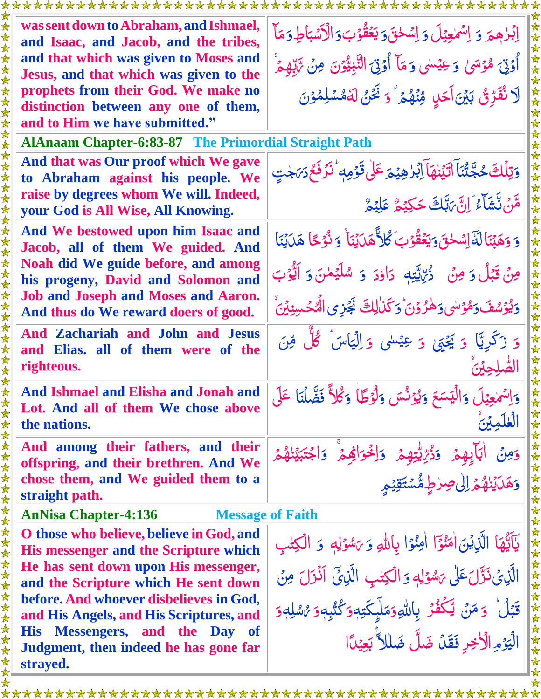|  | was sent down to Abraham, and Ishmael,<br>and Isaac, and Jacob, and the tribes,    | إبْرٰهِمَ وَ إِسْمَعِيْلَ وَإِسْحٰقَ وَيَعْقُوْبَ وَالْأَسْبَاطِ وَمَا             |  |  |
|--|------------------------------------------------------------------------------------|------------------------------------------------------------------------------------|--|--|
|  | and that which was given to Moses and<br>Jesus, and that which was given to the    | أُوۡنَ مُوۡسَىٰ وَعِيۡسٰى وَمَآ أُوۡنَىَ النَّبِيُّوۡنَ مِنۡ تَّابِّهِمۡ           |  |  |
|  | prophets from their God. We make no                                                | لَا نُفَرِّئُ بَيْنَ أَحَلٍ مِّنْهُمْ ۚ وَ نَحْنُ لَهُمْسَلِمُوۡنَ                 |  |  |
|  | distinction between any one of them,<br>and to Him we have submitted."             |                                                                                    |  |  |
|  | <b>AlAnaam Chapter-6:83-87 The Primordial Straight Path</b>                        |                                                                                    |  |  |
|  | And that was Our proof which We gave                                               |                                                                                    |  |  |
|  | to Abraham against his people. We                                                  | وَتِلۡكَ حُجَّتُنَاۤ اٰتَيۡنٰهَاۤ اِبۡلِهِیۡمَ عَلٰیۡ قَوۡمِهٖ ؕ نَزَفَعُ دَیۡجٰتٍ |  |  |
|  | raise by degrees whom We will. Indeed,                                             | هَّنَ تَشَاءُ ۚ إِنَّ بَبَّكَ حَكِيْمٌ عَلِيْمٌ                                    |  |  |
|  | your God is All Wise, All Knowing.                                                 |                                                                                    |  |  |
|  | And We bestowed upon him Isaac and<br>Jacob, all of them We guided. And            | وَ وَهَبْنَا لَةَ إِسْحٰقَ وَيَعْقُوْبَ كُلاَّ هَيَ بَنَا ۚ وَ نُوۡجًا هَيَ بَنَا  |  |  |
|  | Noah did We guide before, and among<br>his progeny, David and Solomon and          | مِنْ قَبْلُ وَ مِنْ ۚ دُرِّيَّتِهِ ۚ دَاؤدَ ۚ وَ سُلَيۡمٰنَ وَ اَيُّوۡبَ           |  |  |
|  | <b>Job and Joseph and Moses and Aaron.</b><br>And thus do We reward doers of good. | وَيُوْسُفَ وَهُوْسٰى وَهٰرُوْنَ وَكَذٰلِكَ نَجُزِى الْهُحُسِنِيْنَ                 |  |  |
|  | And Zachariah and John and Jesus<br>and Elias. all of them were of the             | وَ زَكَرِيًّا وَ يَحْيَىٰ وَ عِيْسٰى وَ اِلْيَاسَٰ ݣُلْ مِّنَ                      |  |  |
|  | righteous.                                                                         |                                                                                    |  |  |
|  | And Ishmael and Elisha and Jonah and                                               | وَاِسْمَعِيْلَ وَالْيَسَعَ وَيُوْنُسَ وَلْوُطًا وَكُلاً فَضَّلْنَا عَلَى           |  |  |
|  | Lot. And all of them We chose above                                                |                                                                                    |  |  |
|  | the nations.                                                                       |                                                                                    |  |  |
|  | And among their fathers, and their                                                 | وَدُّبَّايُّتِهُمَّ وَاِخْوَاهُمْ وَاجْتَبَيْنَهُمْ<br>ايهئ                        |  |  |
|  | offspring, and their brethren. And We<br>chose them, and We guided them to a       |                                                                                    |  |  |
|  | straight path.                                                                     | وَهَلَيۡنَٰهُمۡۚ إِلَىٰ صِرٰطٍ مُّسۡتَقِيۡمِ                                       |  |  |
|  | <b>AnNisa Chapter-4:136</b><br><b>Message of Faith</b>                             |                                                                                    |  |  |
|  | O those who believe, believe in God, and                                           |                                                                                    |  |  |
|  | <b>His messenger and the Scripture which</b>                                       | يَآَيُّهَا الَّذِيْنَ اٰمَنُوٓٓا اٰمِنُوۡا بِاللَّهِ وَيَسْوَلِهٖ وَ الۡكِتٰبِ     |  |  |
|  | He has sent down upon His messenger,                                               | الَّذِيْ نَزَّلَ عَلَى يَسْوَلِهِ وَ الْكِتْبِ الَّذِيِّ آَنُزَلَ مِنْ             |  |  |
|  | and the Scripture which He sent down                                               |                                                                                    |  |  |
|  | before. And whoever disbelieves in God,<br>and His Angels, and His Scriptures, and | قَبَلُ ۚ وَمَنۡ يَّكۡفُرۡ بِاللَّهِوَمَلَّىكَتِهٖوَكُنُّبِهٖوَ $\ell$ مُّلِهٖوَ    |  |  |
|  | Messengers, and the Day of<br><b>His</b>                                           |                                                                                    |  |  |
|  | Judgment, then indeed he has gone far                                              | الْيَوْمِ الْأَخِرِ فَقَلْ ضَلَّ ضَلاَ أَبِعِيْدًا                                 |  |  |
|  | strayed.                                                                           |                                                                                    |  |  |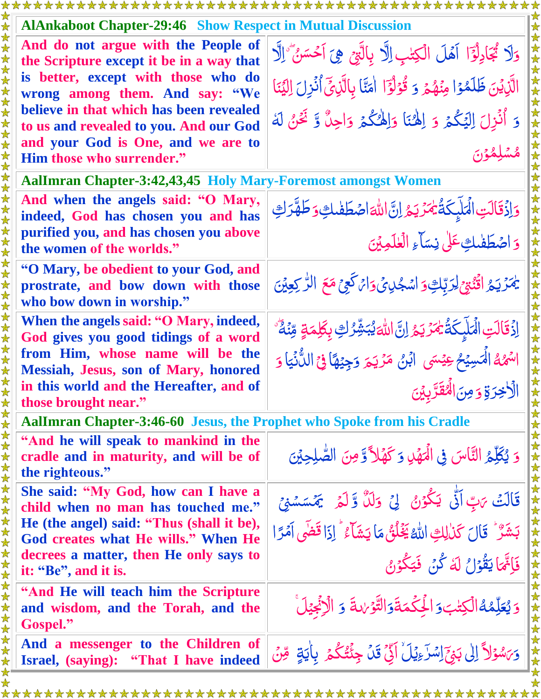| <b>AlAnkaboot Chapter-29:46 Show Respect in Mutual Discussion</b>                                        |                                                                                        |  |
|----------------------------------------------------------------------------------------------------------|----------------------------------------------------------------------------------------|--|
| And do not argue with the People of<br>the Scripture except it be in a way that                          | وَلَا يُجَادِلُوَٓا آهَلَ الْكِتْبِ اِلَّا بِالَّتِيْ هِيَ آَحْسَنُ َّالَّا            |  |
| is better, except with those who do<br>wrong among them. And say: "We                                    | الَّذِيْنَ ظَلَمْوْا مِنْهُمْ وَ قُوْلُوًّا ۖ اٰمَنَّا بِالَّذِيِّ أُنْزِلَ اِلَّيْنَا |  |
| believe in that which has been revealed<br>to us and revealed to you. And our God                        | وَ أُنُزِلَ اِلْيَكُمْ وَ اِلْهُنَا وَاِلْهُكُمْ وَاحِلٌ وَّ نَحْنُ لَهُ               |  |
| and your God is One, and we are to<br>Him those who surrender."                                          | م<br>مشلِمُوْنَ                                                                        |  |
| <b>AalImran Chapter-3:42,43,45 Holy Mary-Foremost amongst Women</b>                                      |                                                                                        |  |
| And when the angels said: "O Mary,<br>indeed, God has chosen you and has                                 | وَاذَقَالَتِ الْمَلَيِكَةُ يُمَرَّيَهُ إِنَّ اللَّهَ اصْطَفْلَتِ وَطَهَّرَكِ           |  |
| purified you, and has chosen you above<br>the women of the worlds."                                      | وَ اصْطَفْلِكِ عَلَىٰ نِسَاءِ الْعٰلَمِيْنَ                                            |  |
| "O Mary, be obedient to your God, and<br>prostrate, and bow down with those<br>who bow down in worship." | يَمْزَيَجُ اقْنُبْيِّ لِرَبَّكِوَ اسْجُلِيَّ وَاتْرَكَعِيْ مَعَ الرَّكِعِيْنَ          |  |
| When the angels said: "O Mary, indeed,<br>God gives you good tidings of a word                           | اِزْقَالَتِ الْمَلَبِكَةُ يُمَرِّيَهُ إِنَّ اللَّهَ يُبَشِّرُكِ بِكَلِمَةٍ مِّنَةٌ     |  |
| from Him, whose name will be the<br><b>Messiah, Jesus, son of Mary, honored</b>                          | اسْهُهُ الْمَسِيۡحُ عِيۡسَى ۚ ابۡنُ مَرۡيَمَ وَجِيۡهَاۚ فِيۡ اللُّٰنَيَاۚ وَ           |  |
| in this world and the Hereafter, and of                                                                  | الأخِرَةِ وَمِنَ الْمُقَرَّبِينَ                                                       |  |
| those brought near."<br>AalImran Chapter-3:46-60 Jesus, the Prophet who Spoke from his Cradle            |                                                                                        |  |
| "And he will speak to mankind in the                                                                     |                                                                                        |  |
| cradle and in maturity, and will be of<br>the righteous."                                                | وَ يُكَلِّمُ النَّاسَ فِي الْهَهْدِ وَكَهْلاً وَّمِنَ الصُّلِحِيْنَ                    |  |
| She said: "My God, how can I have a<br>child when no man has touched me."                                | قَالَتْ يَابٌ اَنَّى يَكُوْنُ ۚ لِيَ وَلَلَّ وَّ لَمَرَ ۚ يَمۡسَسۡنِيَّ                |  |
| He (the angel) said: "Thus (shall it be),<br>God creates what He wills." When He                         | بَشَرٌ ۚ قَالَ كَذٰلِكِ اللَّهُ يَخۡلُقُ مَا يَشَآءُ ۚ إِذَا قَضَى آمَرًا              |  |
| decrees a matter, then He only says to<br>it: "Be", and it is.                                           | فَإِنَّهَا يَقُوۡلُ لَهُ كُنۡ فَيَكُوۡنُ                                               |  |
| "And He will teach him the Scripture"<br>and wisdom, and the Torah, and the<br>Gospel."                  | وَيُعَلِّمُهُالْكِتْبَ وَالْجِكْمَةَوَالتَّوْلِدَةَ وَ الْإِنْجِيْلَ                   |  |
| And a messenger to the Children of<br>Israel, (saying): "That I have indeed                              | وَىَسْوَلاً إِلَىٰ بَيْرَ إِسْرَءِيْلَ ۚ إِنِّي قَلْ جِئْتُكُمْ ۚ بِاٰيَةٍ ۚ مِّنْ     |  |